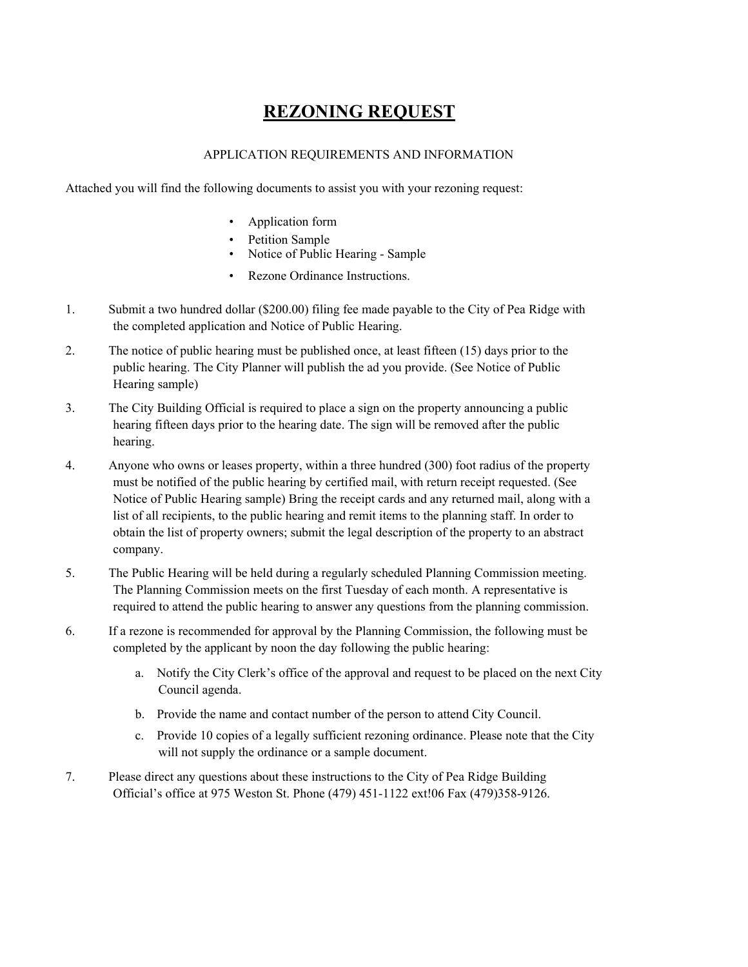# **REZONING REQUEST**

#### APPLICATION REQUIREMENTS AND INFORMATION

Attached you will find the following documents to assist you with your rezoning request:

- Application form
- Petition Sample
- Notice of Public Hearing Sample
- Rezone Ordinance Instructions.
- 1. Submit a two hundred dollar (\$200.00) filing fee made payable to the City of Pea Ridge with the completed application and Notice of Public Hearing.
- 2. The notice of public hearing must be published once, at least fifteen (15) days prior to the public hearing. The City Planner will publish the ad you provide. (See Notice of Public Hearing sample)
- 3. The City Building Official is required to place a sign on the property announcing a public hearing fifteen days prior to the hearing date. The sign will be removed after the public hearing.
- 4. Anyone who owns or leases property, within a three hundred (300) foot radius of the property must be notified of the public hearing by certified mail, with return receipt requested. (See Notice of Public Hearing sample) Bring the receipt cards and any returned mail, along with a list of all recipients, to the public hearing and remit items to the planning staff. In order to obtain the list of property owners; submit the legal description of the property to an abstract company.
- 5. The Public Hearing will be held during a regularly scheduled Planning Commission meeting. The Planning Commission meets on the first Tuesday of each month. A representative is required to attend the public hearing to answer any questions from the planning commission.
- 6. If a rezone is recommended for approval by the Planning Commission, the following must be completed by the applicant by noon the day following the public hearing:
	- a. Notify the City Clerk's office of the approval and request to be placed on the next City Council agenda.
	- b. Provide the name and contact number of the person to attend City Council.
	- c. Provide 10 copies of a legally sufficient rezoning ordinance. Please note that the City will not supply the ordinance or a sample document.
- 7. Please direct any questions about these instructions to the City of Pea Ridge Building Official's office at 975 Weston St. Phone (479) 451-1122 ext!06 Fax (479)358-9126.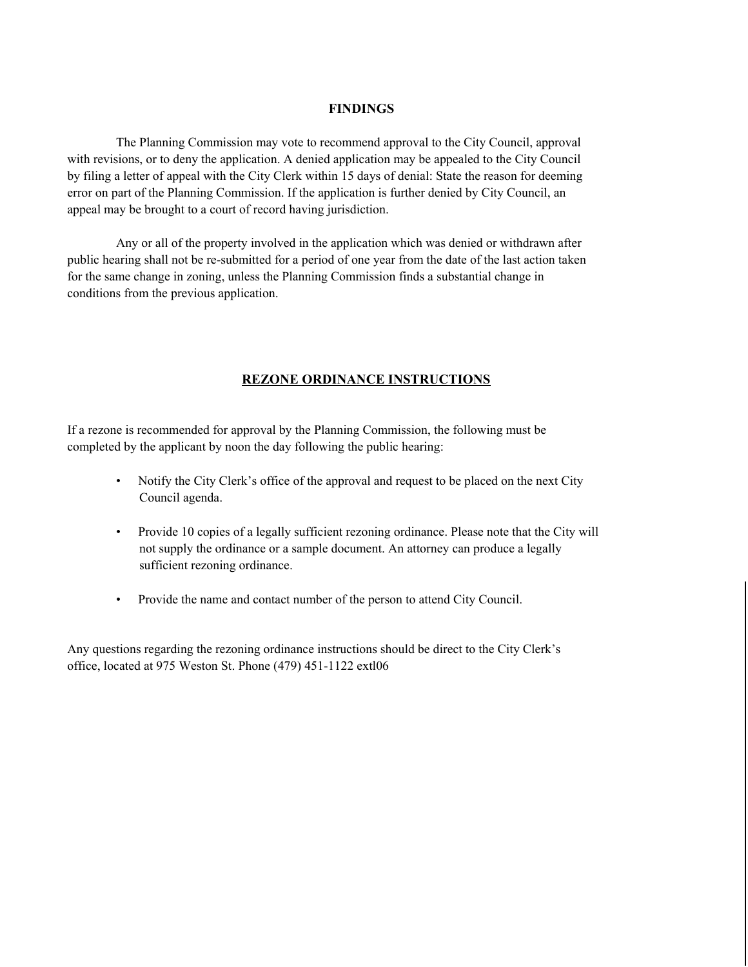#### **FINDINGS**

The Planning Commission may vote to recommend approval to the City Council, approval with revisions, or to deny the application. A denied application may be appealed to the City Council by filing a letter of appeal with the City Clerk within 15 days of denial: State the reason for deeming error on part of the Planning Commission. If the application is further denied by City Council, an appeal may be brought to a court of record having jurisdiction.

Any or all of the property involved in the application which was denied or withdrawn after public hearing shall not be re-submitted for a period of one year from the date of the last action taken for the same change in zoning, unless the Planning Commission finds a substantial change in conditions from the previous application.

#### **REZONE ORDINANCE INSTRUCTIONS**

If a rezone is recommended for approval by the Planning Commission, the following must be completed by the applicant by noon the day following the public hearing:

- Notify the City Clerk's office of the approval and request to be placed on the next City Council agenda.
- Provide 10 copies of a legally sufficient rezoning ordinance. Please note that the City will not supply the ordinance or a sample document. An attorney can produce a legally sufficient rezoning ordinance.
- Provide the name and contact number of the person to attend City Council.

Any questions regarding the rezoning ordinance instructions should be direct to the City Clerk's office, located at 975 Weston St. Phone (479) 451-1122 extl06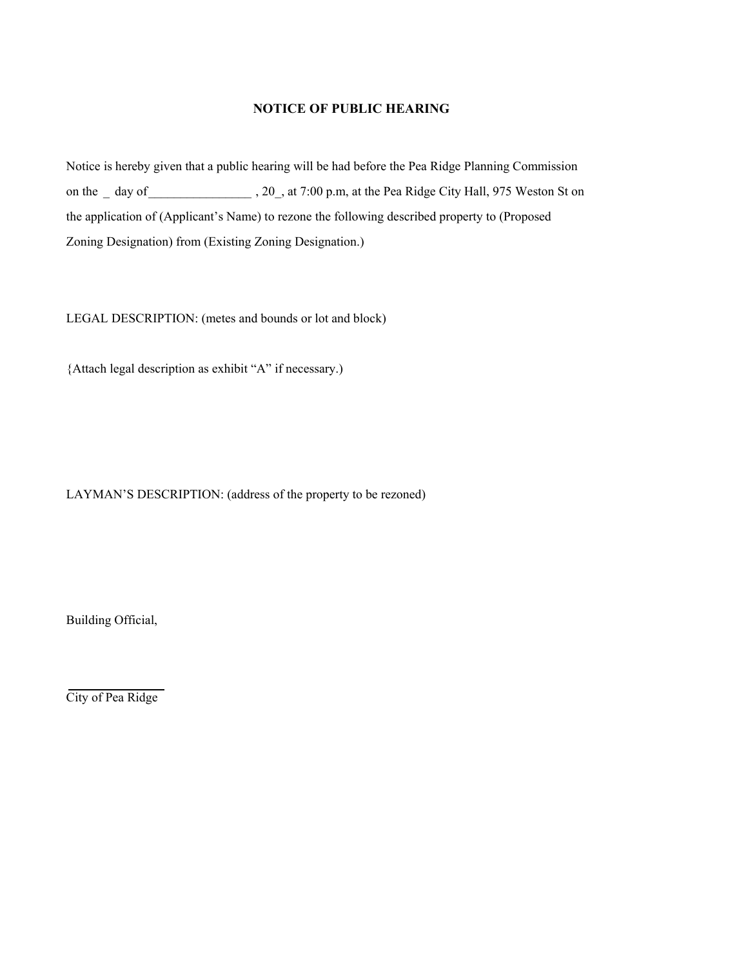#### **NOTICE OF PUBLIC HEARING**

Notice is hereby given that a public hearing will be had before the Pea Ridge Planning Commission on the \_ day of \_\_\_\_\_\_\_\_\_\_\_\_\_\_\_\_, 20\_, at 7:00 p.m, at the Pea Ridge City Hall, 975 Weston St on the application of (Applicant's Name) to rezone the following described property to (Proposed Zoning Designation) from (Existing Zoning Designation.)

LEGAL DESCRIPTION: (metes and bounds or lot and block)

{Attach legal description as exhibit "A" if necessary.)

LAYMAN'S DESCRIPTION: (address of the property to be rezoned)

Building Official,

City of Pea Ridge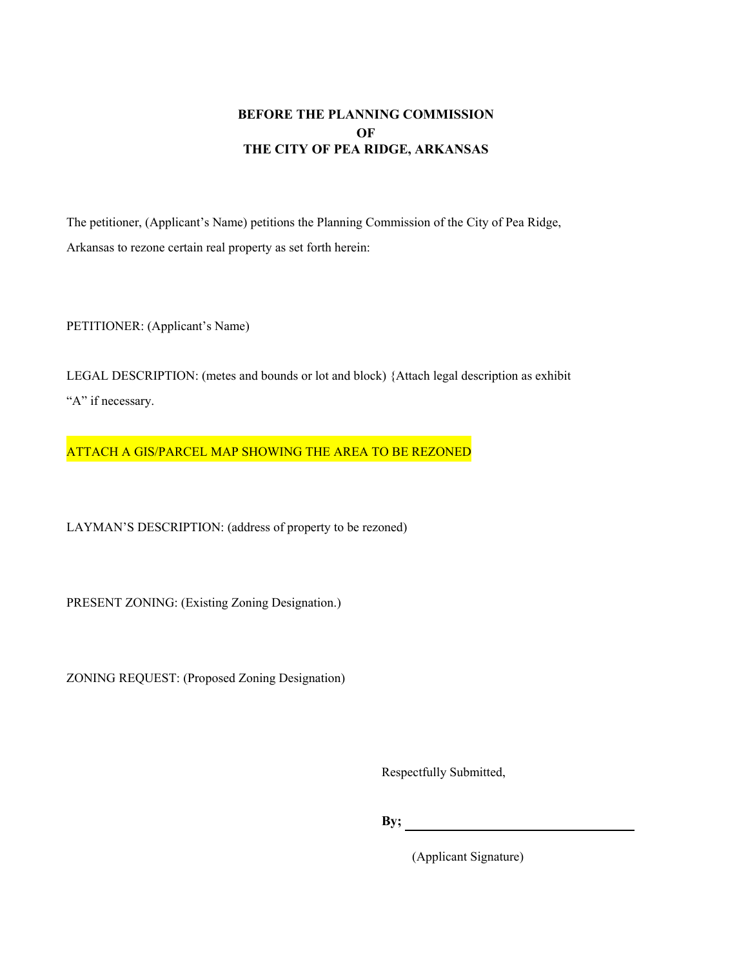## **BEFORE THE PLANNING COMMISSION OF THE CITY OF PEA RIDGE, ARKANSAS**

The petitioner, (Applicant's Name) petitions the Planning Commission of the City of Pea Ridge, Arkansas to rezone certain real property as set forth herein:

PETITIONER: (Applicant's Name)

LEGAL DESCRIPTION: (metes and bounds or lot and block) {Attach legal description as exhibit "A" if necessary.

ATTACH A GIS/PARCEL MAP SHOWING THE AREA TO BE REZONED

LAYMAN'S DESCRIPTION: (address of property to be rezoned)

PRESENT ZONING: (Existing Zoning Designation.)

ZONING REQUEST: (Proposed Zoning Designation)

Respectfully Submitted,

**By;**

(Applicant Signature)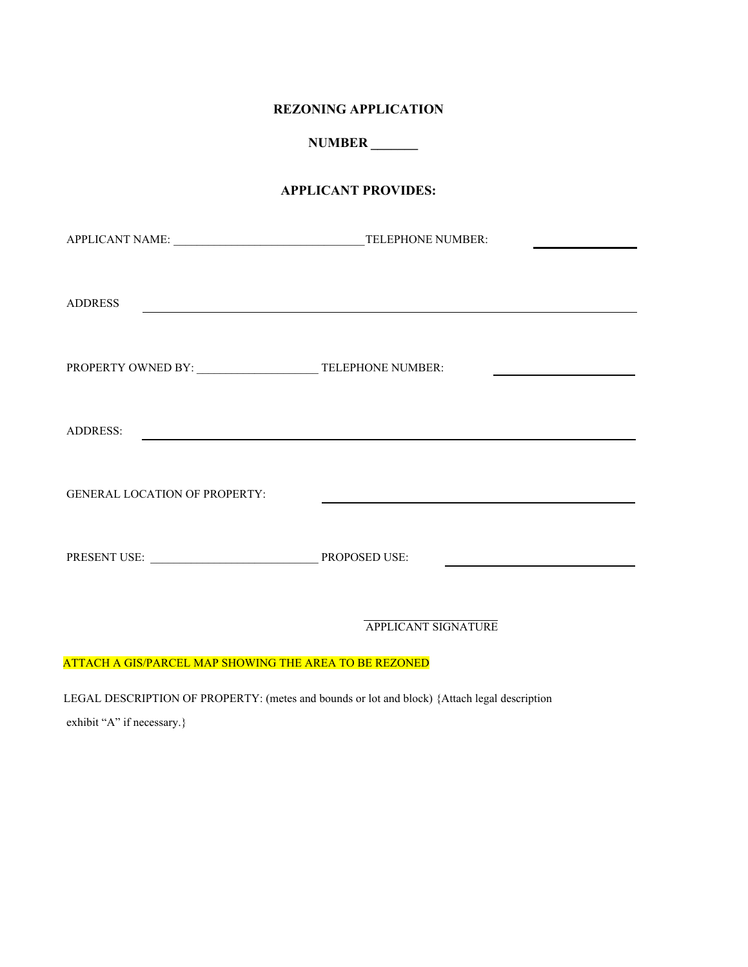#### **REZONING APPLICATION**

**NUMBER \_\_\_\_\_\_\_**

#### **APPLICANT PROVIDES:**

| <b>ADDRESS</b><br><u> 1989 - Johann Stoff, fransk politik (d. 1989)</u>         |                            |
|---------------------------------------------------------------------------------|----------------------------|
|                                                                                 |                            |
|                                                                                 |                            |
|                                                                                 |                            |
| <b>ADDRESS:</b><br><u> 1989 - Johann John Stein, markin fizik eta idazlea (</u> |                            |
| <b>GENERAL LOCATION OF PROPERTY:</b>                                            |                            |
|                                                                                 |                            |
|                                                                                 |                            |
|                                                                                 |                            |
|                                                                                 | <b>APPLICANT SIGNATURE</b> |

## ATTACH A GIS/PARCEL MAP SHOWING THE AREA TO BE REZONED

LEGAL DESCRIPTION OF PROPERTY: (metes and bounds or lot and block) {Attach legal description exhibit "A" if necessary.}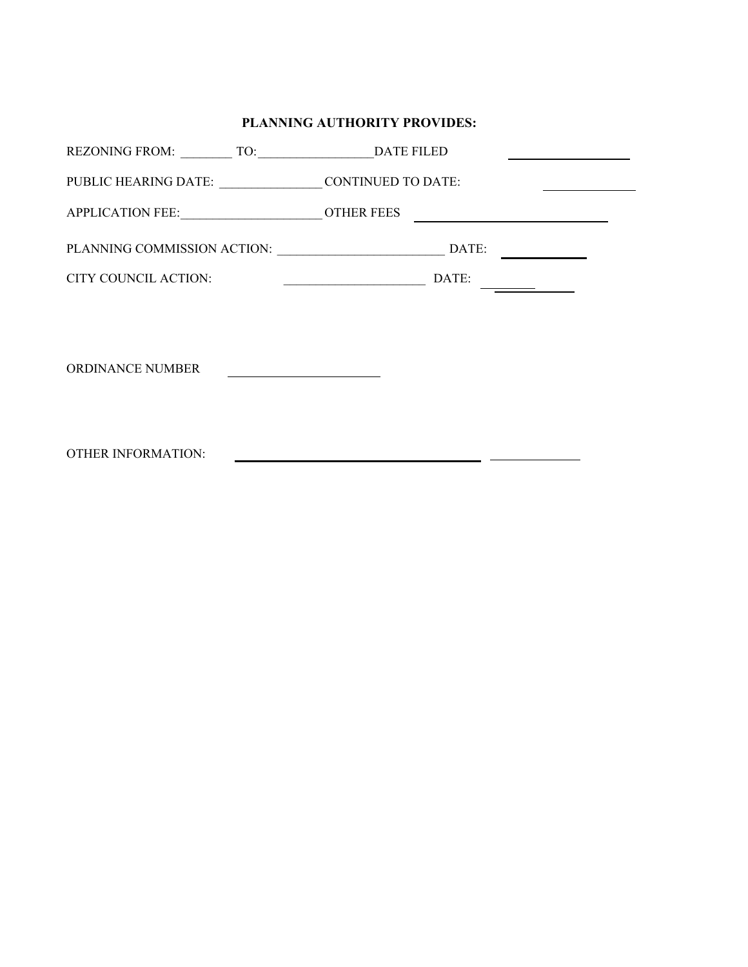## **PLANNING AUTHORITY PROVIDES:**

| PUBLIC HEARING DATE: __________________________CONTINUED TO DATE: |                                                                                                                               |
|-------------------------------------------------------------------|-------------------------------------------------------------------------------------------------------------------------------|
| APPLICATION FEE: ________________________________OTHER FEES       |                                                                                                                               |
|                                                                   | DATE:                                                                                                                         |
| CITY COUNCIL ACTION:                                              | <u> 1980 - Jan Samuel Barbara, politik eta politik eta politik eta politik eta politik eta politik eta politik e</u><br>DATE: |
|                                                                   |                                                                                                                               |
|                                                                   |                                                                                                                               |
| <b>ORDINANCE NUMBER</b>                                           |                                                                                                                               |
|                                                                   |                                                                                                                               |
| <b>OTHER INFORMATION:</b>                                         | <u> 1989 - Johann Stein, mars an deutscher Stein und der Stein und der Stein und der Stein und der Stein und der</u>          |
|                                                                   |                                                                                                                               |